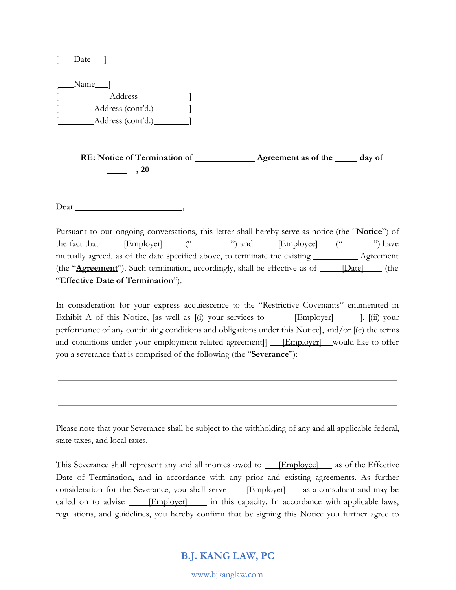$\Box$ Date  $\Box$ 

 $[\_\_\_\$ Name $[\_\_\]$ [ Address ] [ Address (cont'd.) ] [ Address (cont'd.) ]

> **RE: Notice of Termination of Agreement as of the day of \_\_\_\_\_\_ \_\_, 20\_\_\_\_**

Dear ,

Pursuant to our ongoing conversations, this letter shall hereby serve as notice (the "**Notice**") of the fact that  $[Employer]$   $($ " $)$  and  $[Emplovec]$   $($ " $)$  have mutually agreed, as of the date specified above, to terminate the existing \_\_\_\_\_\_\_\_\_\_\_ Agreement (the "**Agreement**"). Such termination, accordingly, shall be effective as of **[Date]** (the "**Effective Date of Termination**").

In consideration for your express acquiescence to the "Restrictive Covenants" enumerated in Exhibit  $\Delta$  of this Notice, [as well as [(i) your services to [Employer] [[iii] your performance of any continuing conditions and obligations under this Notice], and/or [(c) the terms and conditions under your employment-related agreement] **[Employer]** would like to offer you a severance that is comprised of the following (the "**Severance**"):

Please note that your Severance shall be subject to the withholding of any and all applicable federal, state taxes, and local taxes.

This Severance shall represent any and all monies owed to **[Employee]** as of the Effective Date of Termination, and in accordance with any prior and existing agreements. As further consideration for the Severance, you shall serve *[Employer]* as a consultant and may be called on to advise **[Employer]** in this capacity. In accordance with applicable laws, regulations, and guidelines, you hereby confirm that by signing this Notice you further agree to

# **B.J. KANG LAW, PC**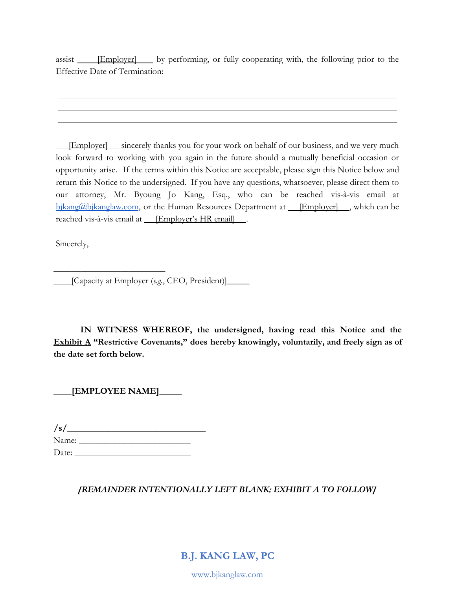assist **Employer** by performing, or fully cooperating with, the following prior to the Effective Date of Termination:

**Employer** sincerely thanks you for your work on behalf of our business, and we very much look forward to working with you again in the future should a mutually beneficial occasion or opportunity arise. If the terms within this Notice are acceptable, please sign this Notice below and return this Notice to the undersigned. If you have any questions, whatsoever, please direct them to our attorney, Mr. Byoung Jo Kang, Esq., who can be reached vis-à-vis email at  $bikang@bikanglaw.com$ , or the Human Resources Department at  $[Emplover]$ , which can be reached vis-à-vis email at **Employer's HR email** .

Sincerely,

[Capacity at Employer (*e.g.*, CEO, President)]**\_\_\_\_\_**

**IN WITNESS WHEREOF, the undersigned, having read this Notice and the Exhibit A "Restrictive Covenants," does hereby knowingly, voluntarily, and freely sign as of the date set forth below.**

 **[EMPLOYEE NAME]\_\_\_\_\_**

**\_\_\_\_\_\_\_\_\_\_\_\_\_\_\_\_\_\_\_\_\_\_\_\_\_**

**/s/\_\_\_\_\_\_\_\_\_\_\_\_\_\_\_\_\_\_\_\_\_\_\_\_\_\_\_\_\_\_\_** Name: **\_\_\_\_\_\_\_\_\_\_\_\_\_\_\_\_\_\_\_\_\_\_\_\_\_** Date: **\_\_\_\_\_\_\_\_\_\_\_\_\_\_\_\_\_\_\_\_\_\_\_\_\_\_**

# *[REMAINDER INTENTIONALLY LEFT BLANK; EXHIBIT A TO FOLLOW]*

**B.J. KANG LAW, PC**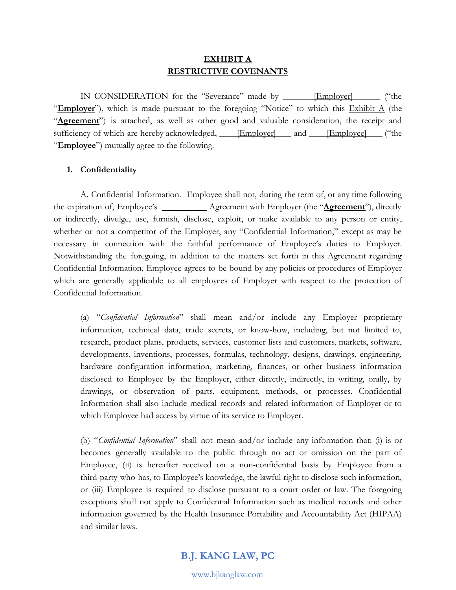# **EXHIBIT A RESTRICTIVE COVENANTS**

IN CONSIDERATION for the "Severance" made by **Employer** [Employer] ("the "**Employer**"), which is made pursuant to the foregoing "Notice" to which this **Exhibit A** (the "**Agreement**") is attached, as well as other good and valuable consideration, the receipt and sufficiency of which are hereby acknowledged, **[Employer]** and **[Employee]** ("the "**Employee**") mutually agree to the following.

#### **1. Confidentiality**

A. Confidential Information. Employee shall not, during the term of, or any time following the expiration of, Employee's \_\_\_\_\_\_\_\_\_\_ Agreement with Employer (the "**Agreement**"), directly or indirectly, divulge, use, furnish, disclose, exploit, or make available to any person or entity, whether or not a competitor of the Employer, any "Confidential Information," except as may be necessary in connection with the faithful performance of Employee's duties to Employer. Notwithstanding the foregoing, in addition to the matters set forth in this Agreement regarding Confidential Information, Employee agrees to be bound by any policies or procedures of Employer which are generally applicable to all employees of Employer with respect to the protection of Confidential Information.

(a) "*Confidential Information*" shall mean and/or include any Employer proprietary information, technical data, trade secrets, or know-how, including, but not limited to, research, product plans, products, services, customer lists and customers, markets, software, developments, inventions, processes, formulas, technology, designs, drawings, engineering, hardware configuration information, marketing, finances, or other business information disclosed to Employee by the Employer, either directly, indirectly, in writing, orally, by drawings, or observation of parts, equipment, methods, or processes. Confidential Information shall also include medical records and related information of Employer or to which Employee had access by virtue of its service to Employer.

(b) "*Confidential Information*" shall not mean and/or include any information that: (i) is or becomes generally available to the public through no act or omission on the part of Employee, (ii) is hereafter received on a non-confidential basis by Employee from a third-party who has, to Employee's knowledge, the lawful right to disclose such information, or (iii) Employee is required to disclose pursuant to a court order or law. The foregoing exceptions shall not apply to Confidential Information such as medical records and other information governed by the Health Insurance Portability and Accountability Act (HIPAA) and similar laws.

# **B.J. KANG LAW, PC**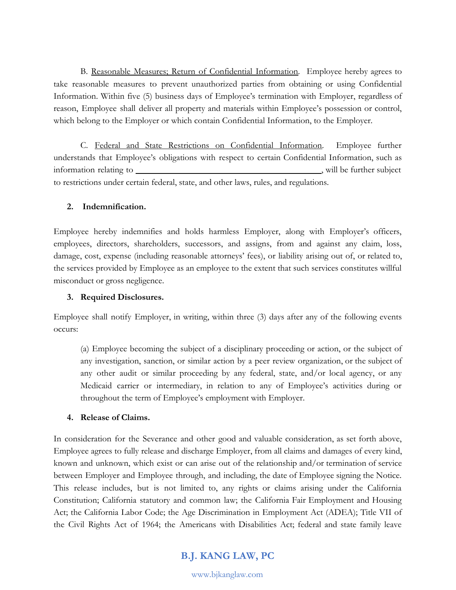B. Reasonable Measures; Return of Confidential Information. Employee hereby agrees to take reasonable measures to prevent unauthorized parties from obtaining or using Confidential Information. Within five (5) business days of Employee's termination with Employer, regardless of reason, Employee shall deliver all property and materials within Employee's possession or control, which belong to the Employer or which contain Confidential Information, to the Employer.

C. Federal and State Restrictions on Confidential Information. Employee further understands that Employee's obligations with respect to certain Confidential Information, such as information relating to , will be further subject to restrictions under certain federal, state, and other laws, rules, and regulations.

### **2. Indemnification.**

Employee hereby indemnifies and holds harmless Employer, along with Employer's officers, employees, directors, shareholders, successors, and assigns, from and against any claim, loss, damage, cost, expense (including reasonable attorneys' fees), or liability arising out of, or related to, the services provided by Employee as an employee to the extent that such services constitutes willful misconduct or gross negligence.

### **3. Required Disclosures.**

Employee shall notify Employer, in writing, within three (3) days after any of the following events occurs:

(a) Employee becoming the subject of a disciplinary proceeding or action, or the subject of any investigation, sanction, or similar action by a peer review organization, or the subject of any other audit or similar proceeding by any federal, state, and/or local agency, or any Medicaid carrier or intermediary, in relation to any of Employee's activities during or throughout the term of Employee's employment with Employer.

# **4. Release of Claims.**

In consideration for the Severance and other good and valuable consideration, as set forth above, Employee agrees to fully release and discharge Employer, from all claims and damages of every kind, known and unknown, which exist or can arise out of the relationship and/or termination of service between Employer and Employee through, and including, the date of Employee signing the Notice. This release includes, but is not limited to, any rights or claims arising under the California Constitution; California statutory and common law; the California Fair Employment and Housing Act; the California Labor Code; the Age Discrimination in Employment Act (ADEA); Title VII of the Civil Rights Act of 1964; the Americans with Disabilities Act; federal and state family leave

# **B.J. KANG LAW, PC**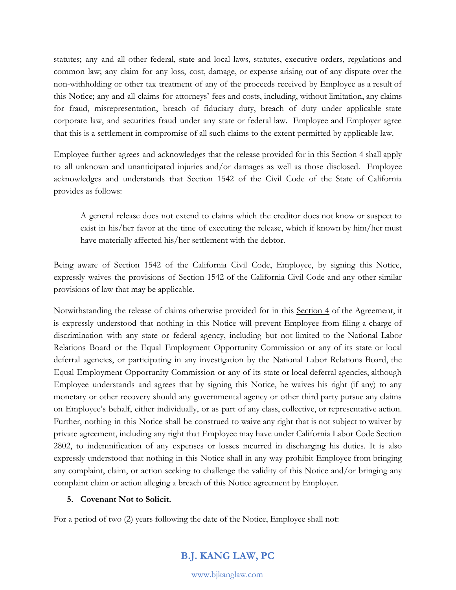statutes; any and all other federal, state and local laws, statutes, executive orders, regulations and common law; any claim for any loss, cost, damage, or expense arising out of any dispute over the non-withholding or other tax treatment of any of the proceeds received by Employee as a result of this Notice; any and all claims for attorneys' fees and costs, including, without limitation, any claims for fraud, misrepresentation, breach of fiduciary duty, breach of duty under applicable state corporate law, and securities fraud under any state or federal law. Employee and Employer agree that this is a settlement in compromise of all such claims to the extent permitted by applicable law.

Employee further agrees and acknowledges that the release provided for in this Section 4 shall apply to all unknown and unanticipated injuries and/or damages as well as those disclosed. Employee acknowledges and understands that Section 1542 of the Civil Code of the State of [California](https://www.lawinsider.com/contracts/tagged/california) provides as follows:

A general release does not extend to claims which the creditor does not know or suspect to exist in his/her favor at the time of executing the release, which if known by him/her must have materially affected his/her settlement with the debtor.

Being aware of Section 1542 of the California Civil Code, Employee, by signing this Notice, expressly waives the provisions of Section 1542 of the [California](https://www.lawinsider.com/contracts/tagged/california) Civil Code and any other similar provisions of law that may be applicable.

Notwithstanding the release of claims otherwise provided for in this Section 4 of the Agreement, it is expressly understood that nothing in this Notice will prevent Employee from filing a charge of discrimination with any state or federal agency, including but not limited to the National Labor Relations Board or the Equal Employment Opportunity Commission or any of its state or local deferral agencies, or participating in any investigation by the National Labor Relations Board, the Equal Employment Opportunity Commission or any of its state or local deferral agencies, although Employee understands and agrees that by signing this Notice, he waives his right (if any) to any monetary or other recovery should any governmental agency or other third party pursue any claims on Employee's behalf, either individually, or as part of any class, collective, or representative action. Further, nothing in this Notice shall be construed to waive any right that is not subject to waiver by private agreement, including any right that Employee may have under California Labor Code Section 2802, to indemnification of any expenses or losses incurred in discharging his duties. It is also expressly understood that nothing in this Notice shall in any way prohibit Employee from bringing any complaint, claim, or action seeking to challenge the validity of this Notice and/or bringing any complaint claim or action alleging a breach of this Notice agreement by Employer.

### **5. Covenant Not to Solicit.**

For a period of two (2) years following the date of the Notice, Employee shall not:

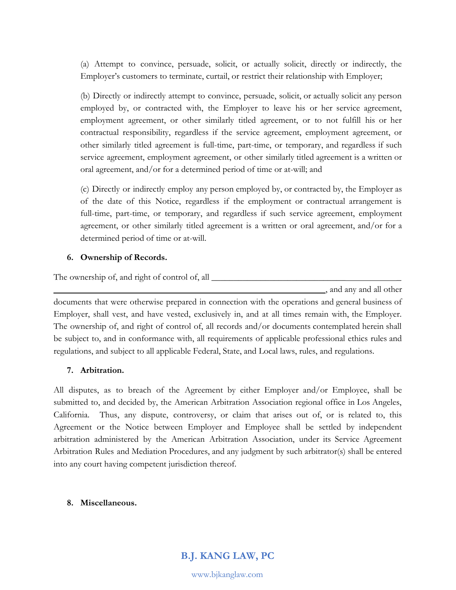(a) Attempt to convince, persuade, solicit, or actually solicit, directly or indirectly, the Employer's customers to terminate, curtail, or restrict their relationship with Employer;

(b) Directly or indirectly attempt to convince, persuade, solicit, or actually solicit any person employed by, or contracted with, the Employer to leave his or her service agreement, employment agreement, or other similarly titled agreement, or to not fulfill his or her contractual responsibility, regardless if the service agreement, employment agreement, or other similarly titled agreement is full-time, part-time, or temporary, and regardless if such service agreement, employment agreement, or other similarly titled agreement is a written or oral agreement, and/or for a determined period of time or at-will; and

(c) Directly or indirectly employ any person employed by, or contracted by, the Employer as of the date of this Notice, regardless if the employment or contractual arrangement is full-time, part-time, or temporary, and regardless if such service agreement, employment agreement, or other similarly titled agreement is a written or oral agreement, and/or for a determined period of time or at-will.

### **6. Ownership of Records.**

The ownership of, and right of control of, all **with all**  $\blacksquare$ 

and any and all other

documents that were otherwise prepared in connection with the operations and general business of Employer, shall vest, and have vested, exclusively in, and at all times remain with, the Employer. The ownership of, and right of control of, all records and/or documents contemplated herein shall be subject to, and in conformance with, all requirements of applicable professional ethics rules and regulations, and subject to all applicable Federal, State, and Local laws, rules, and regulations.

### **7. Arbitration.**

All disputes, as to breach of the Agreement by either Employer and/or Employee, shall be submitted to, and decided by, the American Arbitration Association regional office in Los Angeles, California. Thus, any dispute, controversy, or claim that arises out of, or is related to, this Agreement or the Notice between Employer and Employee shall be settled by independent arbitration administered by the American Arbitration Association, under its Service Agreement Arbitration Rules and Mediation Procedures, and any judgment by such arbitrator(s) shall be entered into any court having competent jurisdiction thereof.

#### **8. Miscellaneous.**

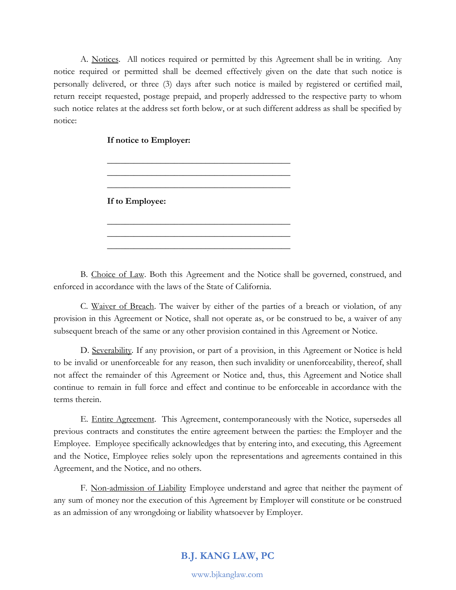A. Notices. All notices required or permitted by this Agreement shall be in writing. Any notice required or permitted shall be deemed effectively given on the date that such notice is personally delivered, or three (3) days after such notice is mailed by registered or certified mail, return receipt requested, postage prepaid, and properly addressed to the respective party to whom such notice relates at the address set forth below, or at such different address as shall be specified by notice:

> $\frac{1}{2}$  , and the set of the set of the set of the set of the set of the set of the set of the set of the set of the set of the set of the set of the set of the set of the set of the set of the set of the set of the set  $\frac{1}{2}$  , and the set of the set of the set of the set of the set of the set of the set of the set of the set of the set of the set of the set of the set of the set of the set of the set of the set of the set of the set  $\frac{1}{2}$  , and the set of the set of the set of the set of the set of the set of the set of the set of the set of the set of the set of the set of the set of the set of the set of the set of the set of the set of the set

> $\frac{1}{2}$  , and the set of the set of the set of the set of the set of the set of the set of the set of the set of the set of the set of the set of the set of the set of the set of the set of the set of the set of the set  $\frac{1}{2}$  , and the set of the set of the set of the set of the set of the set of the set of the set of the set of the set of the set of the set of the set of the set of the set of the set of the set of the set of the set  $\frac{1}{2}$  , and the set of the set of the set of the set of the set of the set of the set of the set of the set of the set of the set of the set of the set of the set of the set of the set of the set of the set of the set

**If notice to Employer:**

**If to Employee:**

B. Choice of Law. Both this Agreement and the Notice shall be governed, construed, and enforced in accordance with the laws of the State of California.

C. Waiver of Breach. The waiver by either of the parties of a breach or violation, of any provision in this Agreement or Notice, shall not operate as, or be construed to be, a waiver of any subsequent breach of the same or any other provision contained in this Agreement or Notice.

D. Severability. If any provision, or part of a provision, in this Agreement or Notice is held to be invalid or unenforceable for any reason, then such invalidity or unenforceability, thereof, shall not affect the remainder of this Agreement or Notice and, thus, this Agreement and Notice shall continue to remain in full force and effect and continue to be enforceable in accordance with the terms therein.

E. Entire Agreement. This Agreement, contemporaneously with the Notice, supersedes all previous contracts and constitutes the entire agreement between the parties: the Employer and the Employee. Employee specifically acknowledges that by entering into, and executing, this Agreement and the Notice, Employee relies solely upon the representations and agreements contained in this Agreement, and the Notice, and no others.

F. Non-admission of Liability Employee understand and agree that neither the payment of any sum of money nor the execution of this Agreement by Employer will constitute or be construed as an admission of any wrongdoing or liability whatsoever by Employer.

# **B.J. KANG LAW, PC**